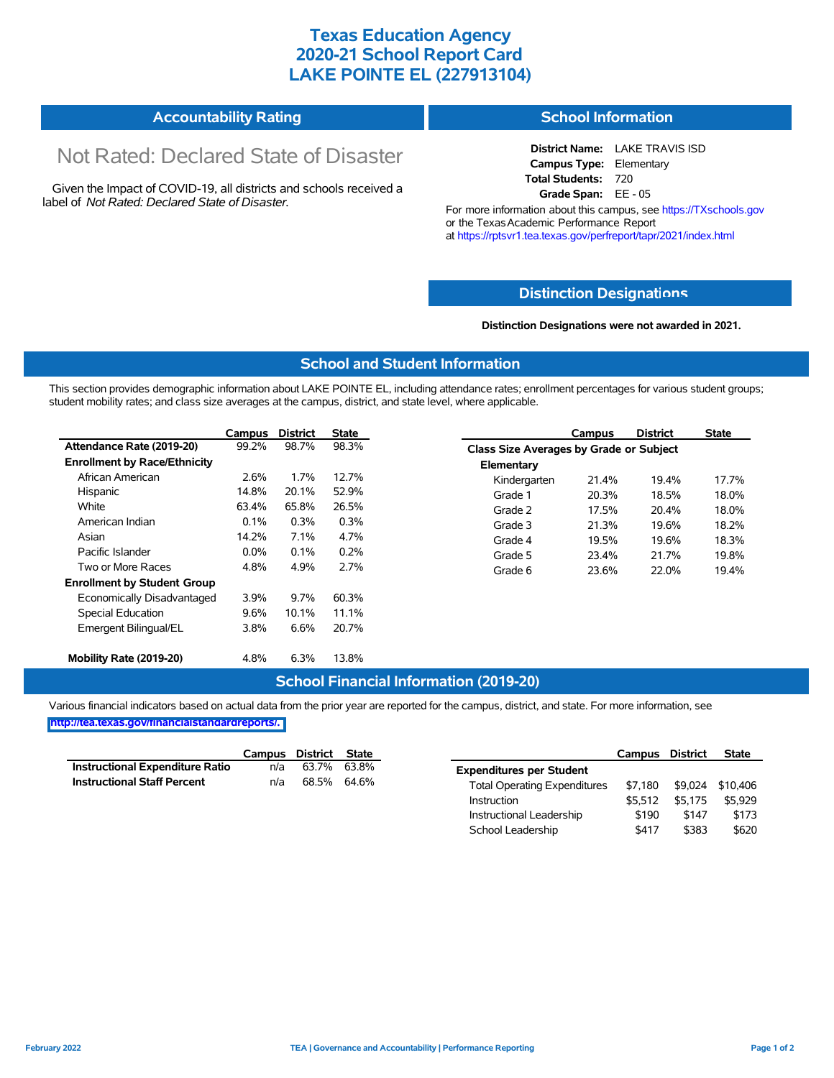## **Texas Education Agency 2020-21 School Report Card LAKE POINTE EL (227913104)**

#### **Accountability Rating School Information**

# Not Rated: Declared State of Disaster

Given the Impact of COVID-19, all districts and schools received a label of *Not Rated: Declared State of Disaster.*

# **District Name:** LAKE TRAVIS ISD **Campus Type:** Elementary

**Total Students:** 720

**Grade Span:** EE - 05

For more information about this campus, see https://TXschools.gov or the Texas Academic Performance Report at https://rptsvr1.tea.texas.gov/perfreport/tapr/2021/index.html

#### **Distinction Designat[ions](https://TXschools.gov)**

**Distinction Designations were not awarded in 2021.**

School Leadership  $$417$  \$383 \$620

#### **School and Student Information**

This section provides demographic information about LAKE POINTE EL, including attendance rates; enrollment percentages for various student groups; student mobility rates; and class size averages at the campus, district, and state level, where applicable.

|                                     | Campus  | <b>District</b> | <b>State</b> |              | Campus                                  | <b>District</b> | <b>State</b> |  |  |
|-------------------------------------|---------|-----------------|--------------|--------------|-----------------------------------------|-----------------|--------------|--|--|
| Attendance Rate (2019-20)           | 99.2%   | 98.7%           | 98.3%        |              | Class Size Averages by Grade or Subject |                 |              |  |  |
| <b>Enrollment by Race/Ethnicity</b> |         |                 |              | Elementary   |                                         |                 |              |  |  |
| African American                    | 2.6%    | 1.7%            | 12.7%        | Kindergarten | 21.4%                                   | 19.4%           | 17.7%        |  |  |
| Hispanic                            | 14.8%   | 20.1%           | 52.9%        | Grade 1      | 20.3%                                   | 18.5%           | 18.0%        |  |  |
| White                               | 63.4%   | 65.8%           | 26.5%        | Grade 2      | 17.5%                                   | 20.4%           | 18.0%        |  |  |
| American Indian                     | 0.1%    | 0.3%            | 0.3%         | Grade 3      | 21.3%                                   | 19.6%           | 18.2%        |  |  |
| Asian                               | 14.2%   | 7.1%            | 4.7%         | Grade 4      | 19.5%                                   | 19.6%           | 18.3%        |  |  |
| Pacific Islander                    | $0.0\%$ | 0.1%            | 0.2%         | Grade 5      | 23.4%                                   | 21.7%           | 19.8%        |  |  |
| Two or More Races                   | 4.8%    | 4.9%            | 2.7%         | Grade 6      | 23.6%                                   | 22.0%           | 19.4%        |  |  |
| <b>Enrollment by Student Group</b>  |         |                 |              |              |                                         |                 |              |  |  |
| Economically Disadvantaged          | 3.9%    | 9.7%            | 60.3%        |              |                                         |                 |              |  |  |
| Special Education                   | 9.6%    | 10.1%           | 11.1%        |              |                                         |                 |              |  |  |
| Emergent Bilingual/EL               | 3.8%    | 6.6%            | 20.7%        |              |                                         |                 |              |  |  |
|                                     |         |                 |              |              |                                         |                 |              |  |  |
| Mobility Rate (2019-20)             | 4.8%    | 6.3%            | 13.8%        |              |                                         |                 |              |  |  |

#### **School Financial Information (2019-20)**

Various financial indicators based on actual data from the prior year are reported for the campus, district, and state. For more information, see

**[http://tea.texas.gov/financialstandardreports/.](http://tea.texas.gov/financialstandardreports/)**

|                                    | Campus | District | <b>State</b> |                                     | Campus  | <b>District</b> | <b>State</b> |
|------------------------------------|--------|----------|--------------|-------------------------------------|---------|-----------------|--------------|
| Instructional Expenditure Ratio    | n/a    | 63.7%    | 63.8%        | <b>Expenditures per Student</b>     |         |                 |              |
| <b>Instructional Staff Percent</b> | n/a    | 68.5%    | 64.6%        | <b>Total Operating Expenditures</b> | \$7.180 | \$9.024         | \$10.406     |
|                                    |        |          |              | Instruction                         | \$5.512 | \$5.175         | \$5.929      |
|                                    |        |          |              | Instructional Leadership            | \$190   | \$147           | \$173        |